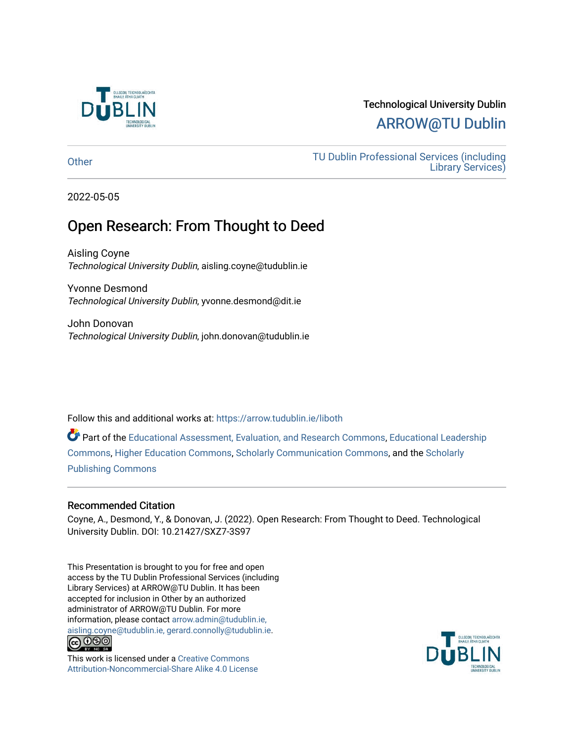

#### Technological University Dublin [ARROW@TU Dublin](https://arrow.tudublin.ie/)

[Other](https://arrow.tudublin.ie/liboth) [TU Dublin Professional Services \(including](https://arrow.tudublin.ie/library)  [Library Services\)](https://arrow.tudublin.ie/library) 

2022-05-05

#### Open Research: From Thought to Deed

Aisling Coyne Technological University Dublin, aisling.coyne@tudublin.ie

Yvonne Desmond Technological University Dublin, yvonne.desmond@dit.ie

John Donovan Technological University Dublin, john.donovan@tudublin.ie

Follow this and additional works at: [https://arrow.tudublin.ie/liboth](https://arrow.tudublin.ie/liboth?utm_source=arrow.tudublin.ie%2Fliboth%2F8&utm_medium=PDF&utm_campaign=PDFCoverPages) 

Part of the [Educational Assessment, Evaluation, and Research Commons](https://network.bepress.com/hgg/discipline/796?utm_source=arrow.tudublin.ie%2Fliboth%2F8&utm_medium=PDF&utm_campaign=PDFCoverPages), [Educational Leadership](https://network.bepress.com/hgg/discipline/1230?utm_source=arrow.tudublin.ie%2Fliboth%2F8&utm_medium=PDF&utm_campaign=PDFCoverPages) [Commons](https://network.bepress.com/hgg/discipline/1230?utm_source=arrow.tudublin.ie%2Fliboth%2F8&utm_medium=PDF&utm_campaign=PDFCoverPages), [Higher Education Commons](https://network.bepress.com/hgg/discipline/1245?utm_source=arrow.tudublin.ie%2Fliboth%2F8&utm_medium=PDF&utm_campaign=PDFCoverPages), [Scholarly Communication Commons](https://network.bepress.com/hgg/discipline/1272?utm_source=arrow.tudublin.ie%2Fliboth%2F8&utm_medium=PDF&utm_campaign=PDFCoverPages), and the [Scholarly](https://network.bepress.com/hgg/discipline/1273?utm_source=arrow.tudublin.ie%2Fliboth%2F8&utm_medium=PDF&utm_campaign=PDFCoverPages) [Publishing Commons](https://network.bepress.com/hgg/discipline/1273?utm_source=arrow.tudublin.ie%2Fliboth%2F8&utm_medium=PDF&utm_campaign=PDFCoverPages)

#### Recommended Citation

Coyne, A., Desmond, Y., & Donovan, J. (2022). Open Research: From Thought to Deed. Technological University Dublin. DOI: 10.21427/SXZ7-3S97

This Presentation is brought to you for free and open access by the TU Dublin Professional Services (including Library Services) at ARROW@TU Dublin. It has been accepted for inclusion in Other by an authorized administrator of ARROW@TU Dublin. For more information, please contact [arrow.admin@tudublin.ie,](mailto:arrow.admin@tudublin.ie,%20aisling.coyne@tudublin.ie,%20gerard.connolly@tudublin.ie)  [aisling.coyne@tudublin.ie, gerard.connolly@tudublin.ie](mailto:arrow.admin@tudublin.ie,%20aisling.coyne@tudublin.ie,%20gerard.connolly@tudublin.ie).



This work is licensed under a [Creative Commons](http://creativecommons.org/licenses/by-nc-sa/4.0/) [Attribution-Noncommercial-Share Alike 4.0 License](http://creativecommons.org/licenses/by-nc-sa/4.0/)

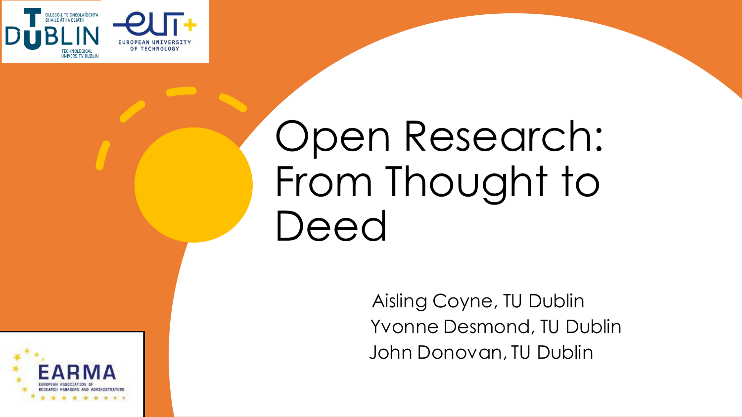

# Open Research: From Thought to Deed

Aisling Coyne, TU Dublin Yvonne Desmond, TU Dublin John Donovan, TU Dublin

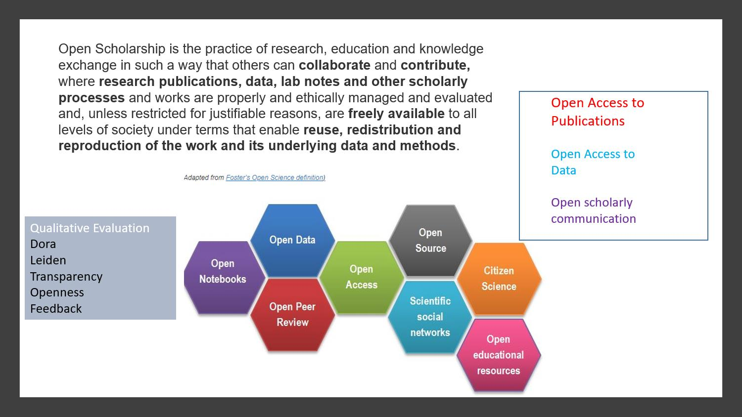Open Scholarship is the practice of research, education and knowledge exchange in such a way that others can collaborate and contribute, where research publications, data, lab notes and other scholarly processes and works are properly and ethically managed and evaluated and, unless restricted for justifiable reasons, are freely available to all levels of society under terms that enable reuse, redistribution and reproduction of the work and its underlying data and methods.

Adapted from Foster's Open Science definition)

**Publications Open Access to** Data

**Open Access to** 

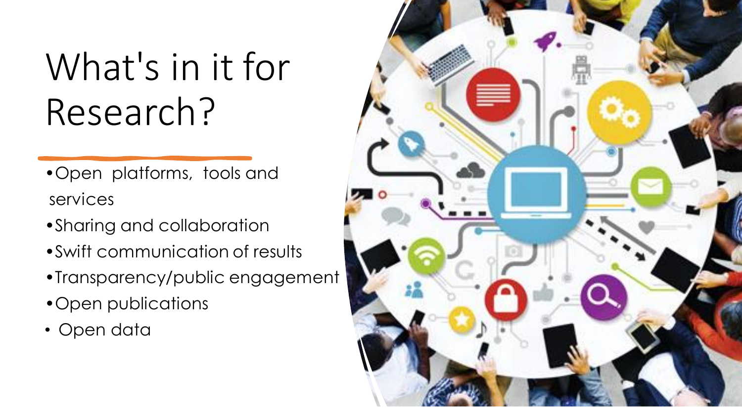# What's in it for Research?

- •Open platforms, tools and services
- •Sharing and collaboration
- •Swift communication of results
- •Transparency/public engagement
- •Open publications
- Open data

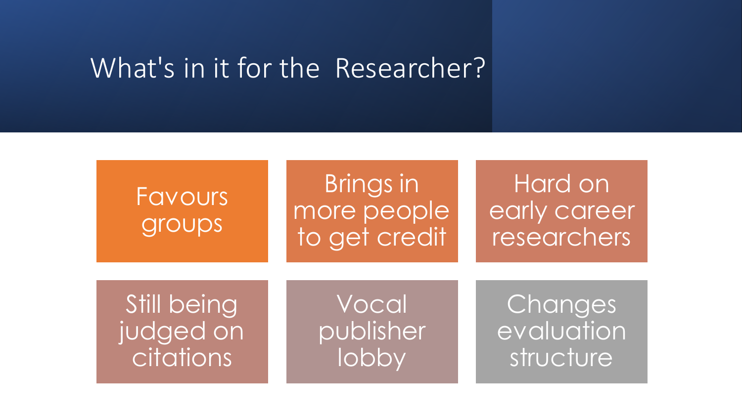### What's in it for the Researcher?



Brings in more people to get credit

Hard on early career researchers

Still being judged on citations

Vocal publisher lobby

**Changes** evaluation structure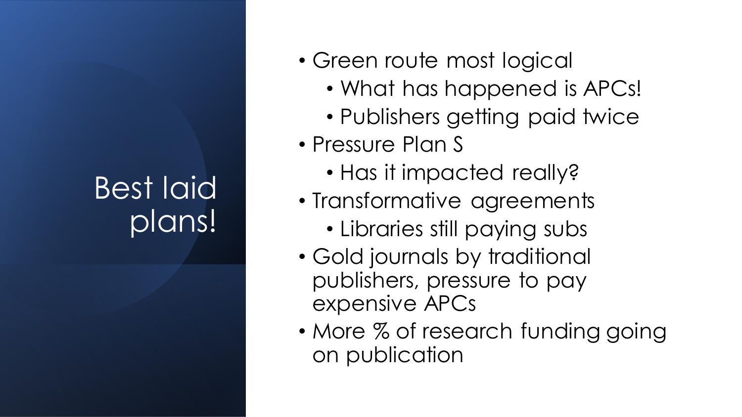### Best laid plans!

- Green route most logical
	- What has happened is APCs!
	- Publishers getting paid twice
- Pressure Plan S
	- Has it impacted really?
- Transformative agreements
	- Libraries still paying subs
- Gold journals by traditional publishers, pressure to pay expensive APCs
- More % of research funding going on publication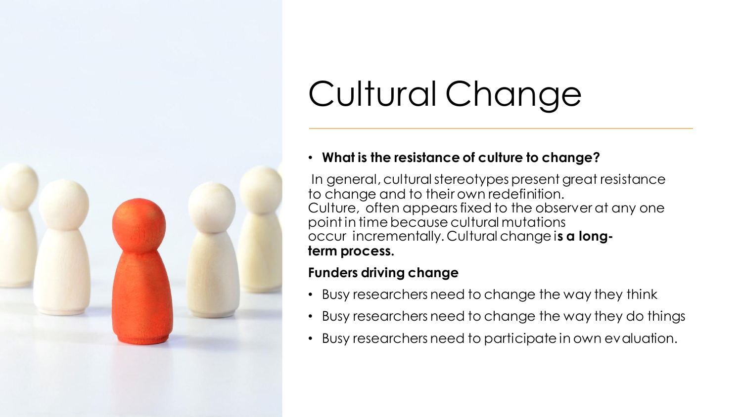

## Cultural Change

#### • **What is the resistance of culture to change?**

In general, cultural stereotypes present great resistance to change and to their own redefinition. Culture, often appears fixed to the observer at any one point in time because cultural mutations occur incrementally. Cultural change i**s a longterm process.**

#### **Funders driving change**

- Busy researchers need to change the way they think
- Busy researchers need to change the way they do things
- Busy researchers need to participate in own evaluation.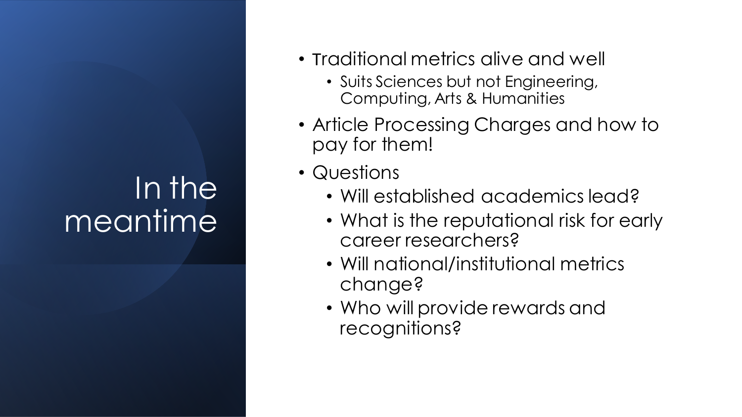### In the meantime

- Traditional metrics alive and well
	- Suits Sciences but not Engineering, Computing, Arts & Humanities
- Article Processing Charges and how to pay for them!
- Questions
	- Will established academics lead?
	- What is the reputational risk for early career researchers?
	- Will national/institutional metrics change?
	- Who will provide rewards and recognitions?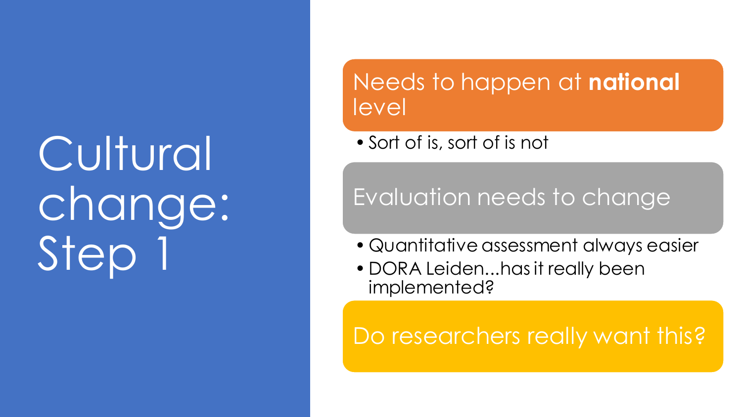# Cultural change: Step

### Needs to happen at **national** level

• Sort of is, sort of is not

### Evaluation needs to change

- Quantitative assessment always easier
- DORA Leiden...has it really been implemented?

### Do researchers really want this?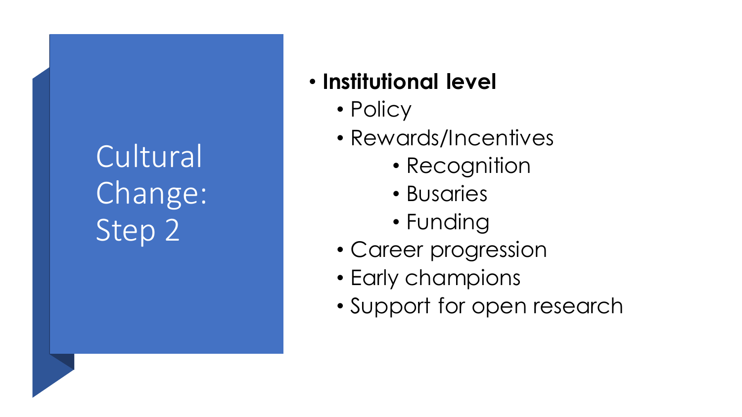Cultural Change: Step 2

### • **Institutional level**

- Policy
- Rewards/Incentives
	- Recognition
	- Busaries
	- Funding
- Career progression
- Early champions
- Support for open research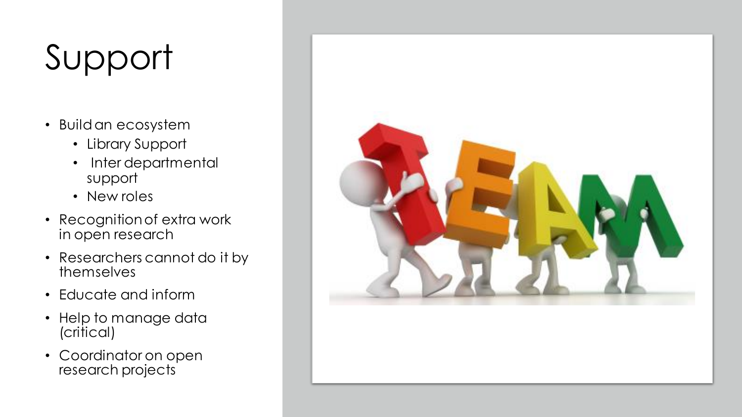## Support

- Build an ecosystem
	- Library Support
	- Inter departmental support
	- New roles
- Recognition of extra work in open research
- Researchers cannot do it by themselves
- Educate and inform
- Help to manage data (critical)
- Coordinator on open research projects

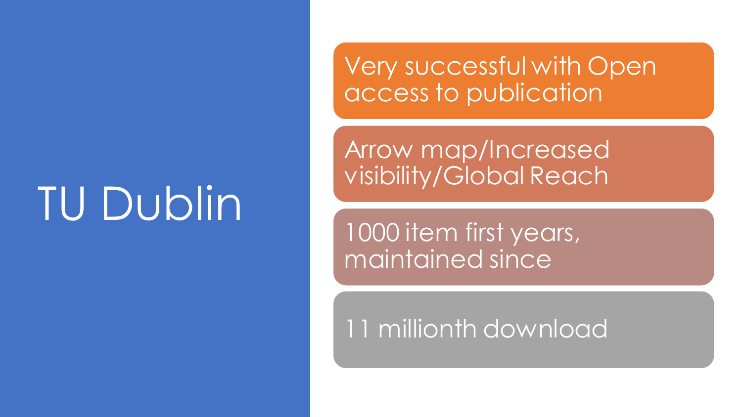# TU Dublin

Very successful with Open access to publication

Arrow map/Increased visibility/Global Reach

1000 item first years, maintained since

### 11 millionth download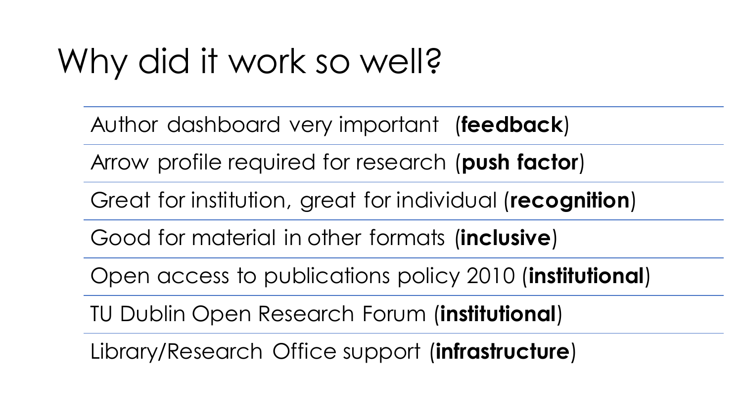### Why did it work so well?

Author dashboard very important (**feedback**)

Arrow profile required for research (**push factor**)

Great for institution, great for individual (**recognition**)

Good for material in other formats (**inclusive**)

Open access to publications policy 2010 (**institutional**)

TU Dublin Open Research Forum (**institutional**)

Library/Research Office support (**infrastructure**)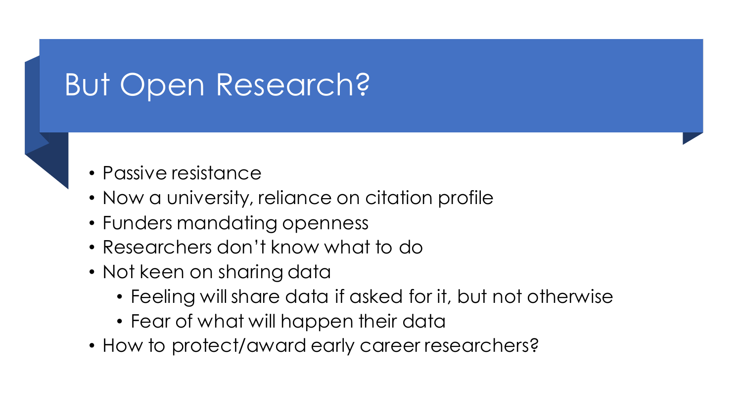### But Open Research?

- Passive resistance
- Now a university, reliance on citation profile
- Funders mandating openness
- Researchers don't know what to do
- Not keen on sharing data
	- Feeling will share data if asked for it, but not otherwise
	- Fear of what will happen their data
- How to protect/award early career researchers?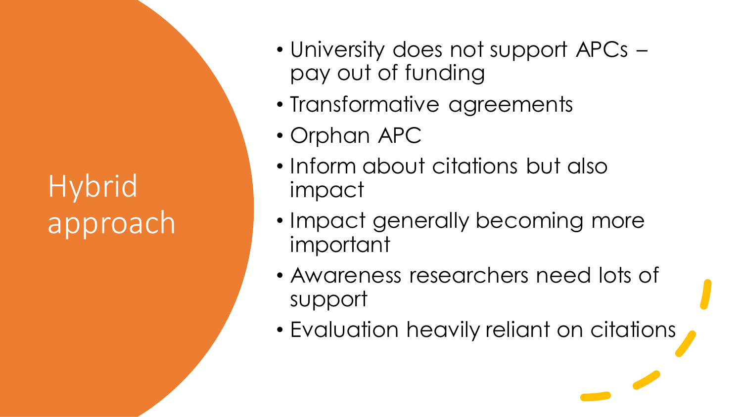### **Hybrid** approach

- University does not support APCs pay out of funding
- Transformative agreements
- Orphan APC
- Inform about citations but also impact
- Impact generally becoming more important
- Awareness researchers need lots of support
- Evaluation heavily reliant on citations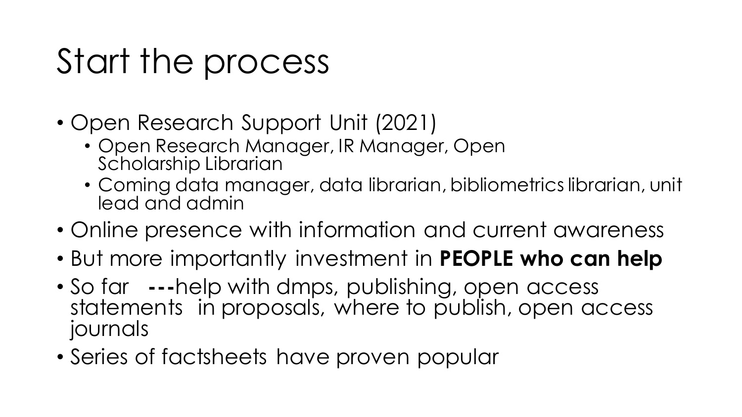## Start the process

- Open Research Support Unit (2021)
	- Open Research Manager, IR Manager, Open Scholarship Librarian
	- Coming data manager, data librarian, bibliometrics librarian, unit lead and admin
- Online presence with information and current awareness
- But more importantly investment in **PEOPLE who can help**
- So far **---**help with dmps, publishing, open access statements in proposals, where to publish, open access journals
- Series of factsheets have proven popular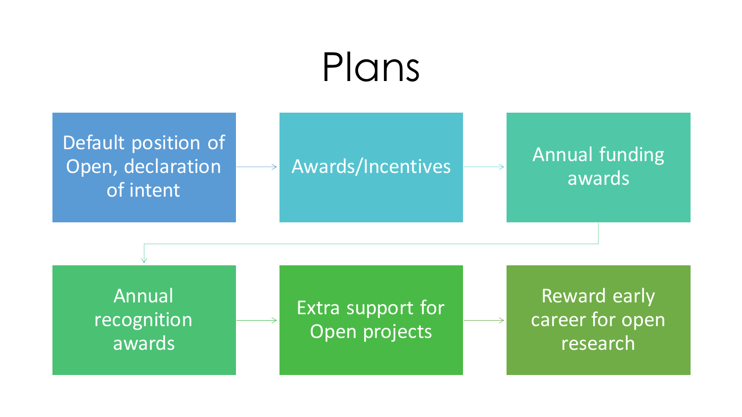## Plans

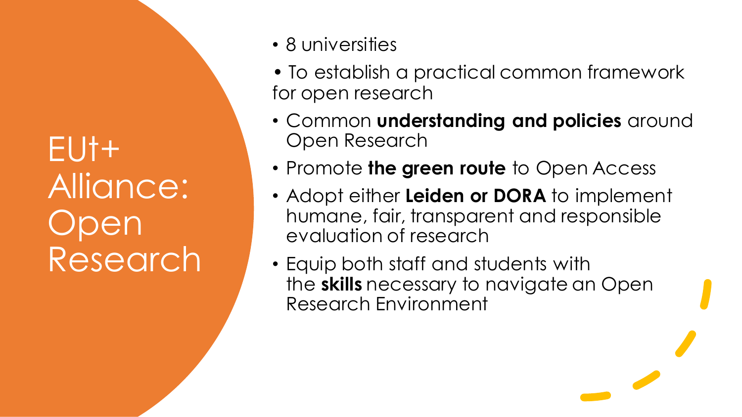EUt+ Alliance: **Open** Research

- 8 universities
- To establish a practical common framework for open research
- Common **understanding and policies** around Open Research
- Promote **the green route** to Open Access
- Adopt either Leiden or **DORA** to implement humane, fair, transparent and responsible evaluation of research
- Equip both staff and students with the **skills** necessary to navigate an Open Research Environment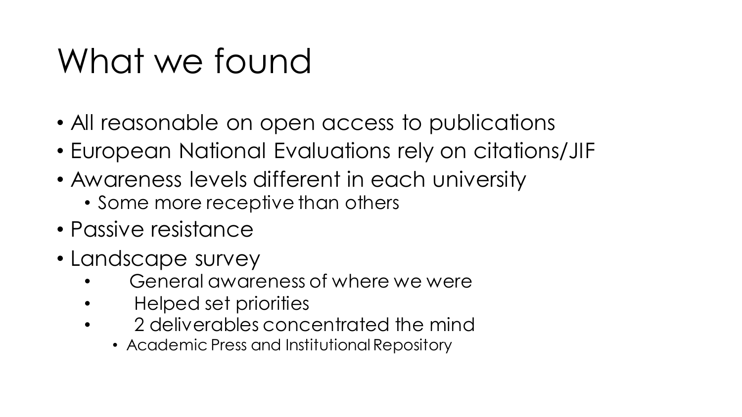### What we found

- All reasonable on open access to publications
- European National Evaluations rely on citations/JIF
- Awareness levels different in each university
	- Some more receptive than others
- Passive resistance
- Landscape survey
	- General awareness of where we were
	- Helped set priorities
	- 2 deliverables concentrated the mind
		- Academic Press and Institutional Repository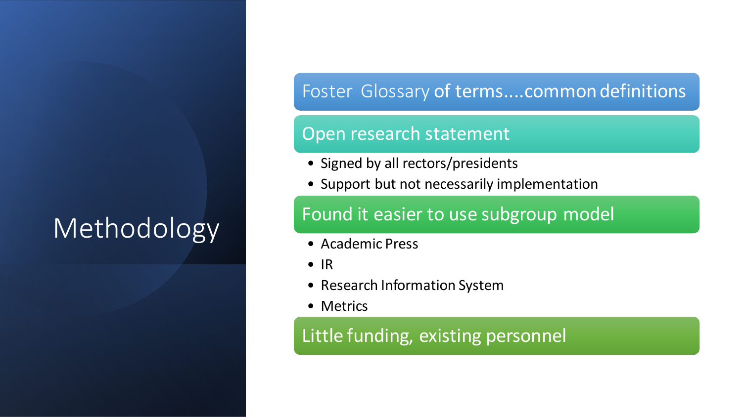### Methodology

### Foster Glossary of terms....common definitions

#### Open research statement

- Signed by all rectors/presidents
- Support but not necessarily implementation

#### Found it easier to use subgroup model

- Academic Press
- IR
- Research Information System
- Metrics

#### Little funding, existing personnel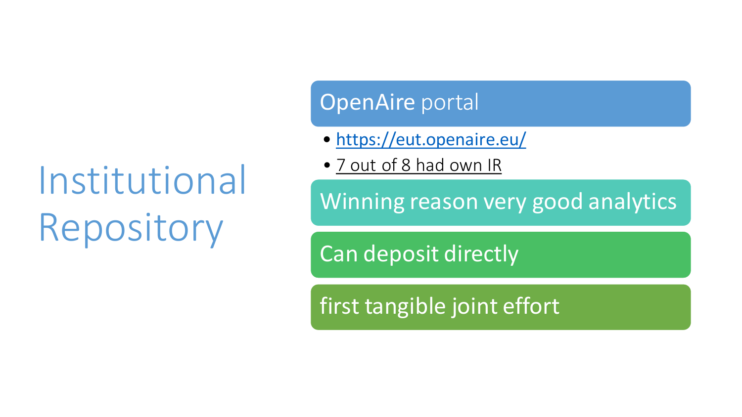# Institutional Repository

### OpenAire portal

- <https://eut.openaire.eu/>
- 7 out of 8 had own IR

Winning reason very good analytics

Can deposit directly

first tangible joint effort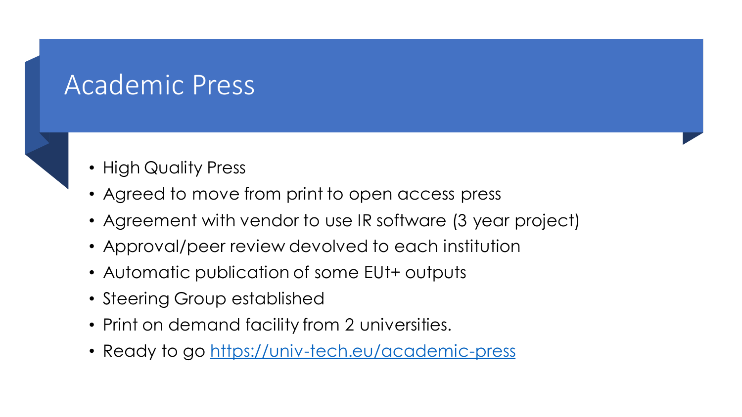### Academic Press

- High Quality Press
- Agreed to move from print to open access press
- Agreement with vendor to use IR software (3 year project)
- Approval/peer review devolved to each institution
- Automatic publication of some EUt+ outputs
- Steering Group established
- Print on demand facility from 2 universities.
- Ready to go [https://univ-tech.eu/academic-press](https://eur05.safelinks.protection.outlook.com/?url=https%3A%2F%2Funiv-tech.eu%2Facademic-press&data=04%7C01%7Cyvonne.desmond%40TUDublin.ie%7C3b5387336dea455f4ec808da00edb7df%7C766317cbe9484e5f8cecdabc8e2fd5da%7C0%7C0%7C637823318232345588%7CUnknown%7CTWFpbGZsb3d8eyJWIjoiMC4wLjAwMDAiLCJQIjoiV2luMzIiLCJBTiI6Ik1haWwiLCJXVCI6Mn0%3D%7C3000&sdata=7FakglHOM9Woe%2FVBFASxY4mgrS8k6Q2LcnrYVOIL6Kg%3D&reserved=0)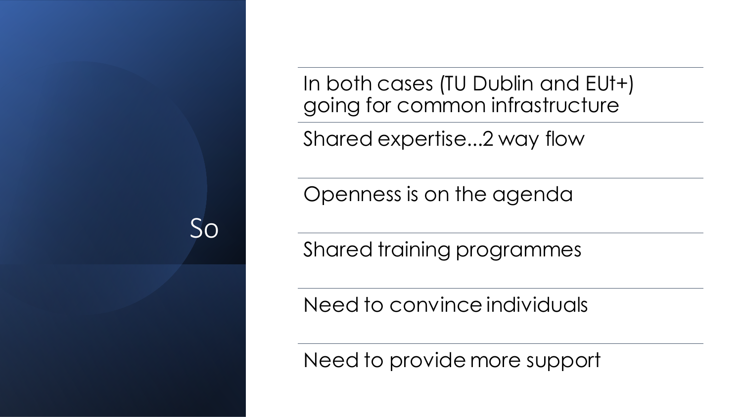In both cases (TU Dublin and EUt+) going for common infrastructure

Shared expertise...2 way flow

Openness is on the agenda

So

Shared training programmes

Need to convince individuals

Need to provide more support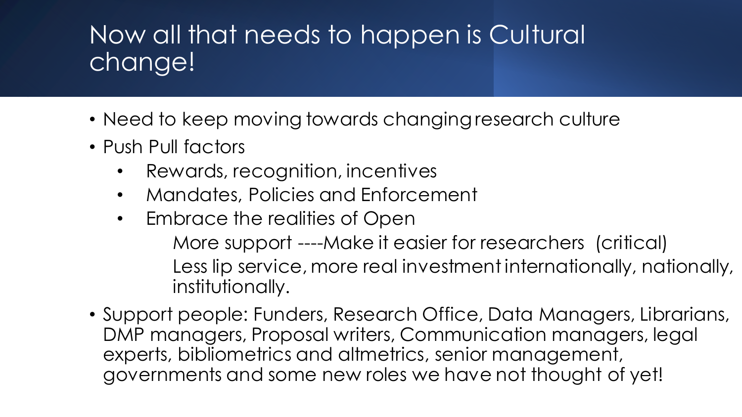### Now all that needs to happen is Cultural change!

- Need to keep moving towards changing research culture
- Push Pull factors
	- Rewards, recognition, incentives
	- Mandates, Policies and Enforcement
	- Embrace the realities of Open More support ----Make it easier for researchers (critical) Less lip service, more real investment internationally, nationally, institutionally.
- Support people: Funders, Research Office, Data Managers, Librarians, DMP managers, Proposal writers, Communication managers, legal experts, bibliometrics and altmetrics, senior management, governments and some new roles we have not thought of yet!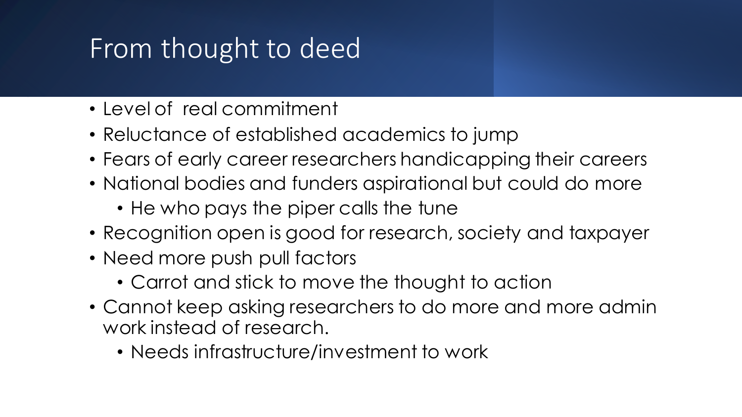### From thought to deed

- Level of real commitment
- Reluctance of established academics to jump
- Fears of early career researchers handicapping their careers
- National bodies and funders aspirational but could do more
	- He who pays the piper calls the tune
- Recognition open is good for research, society and taxpayer
- Need more push pull factors
	- Carrot and stick to move the thought to action
- Cannot keep asking researchers to do more and more admin work instead of research.
	- Needs infrastructure/investment to work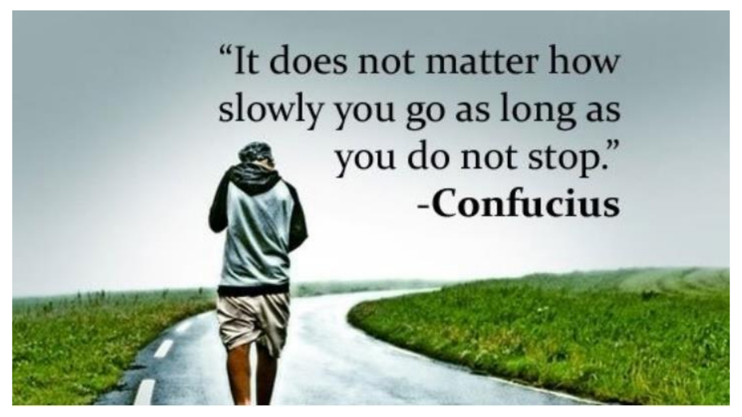# "It does not matter how slowly you go as long as you do not stop." -Confucius